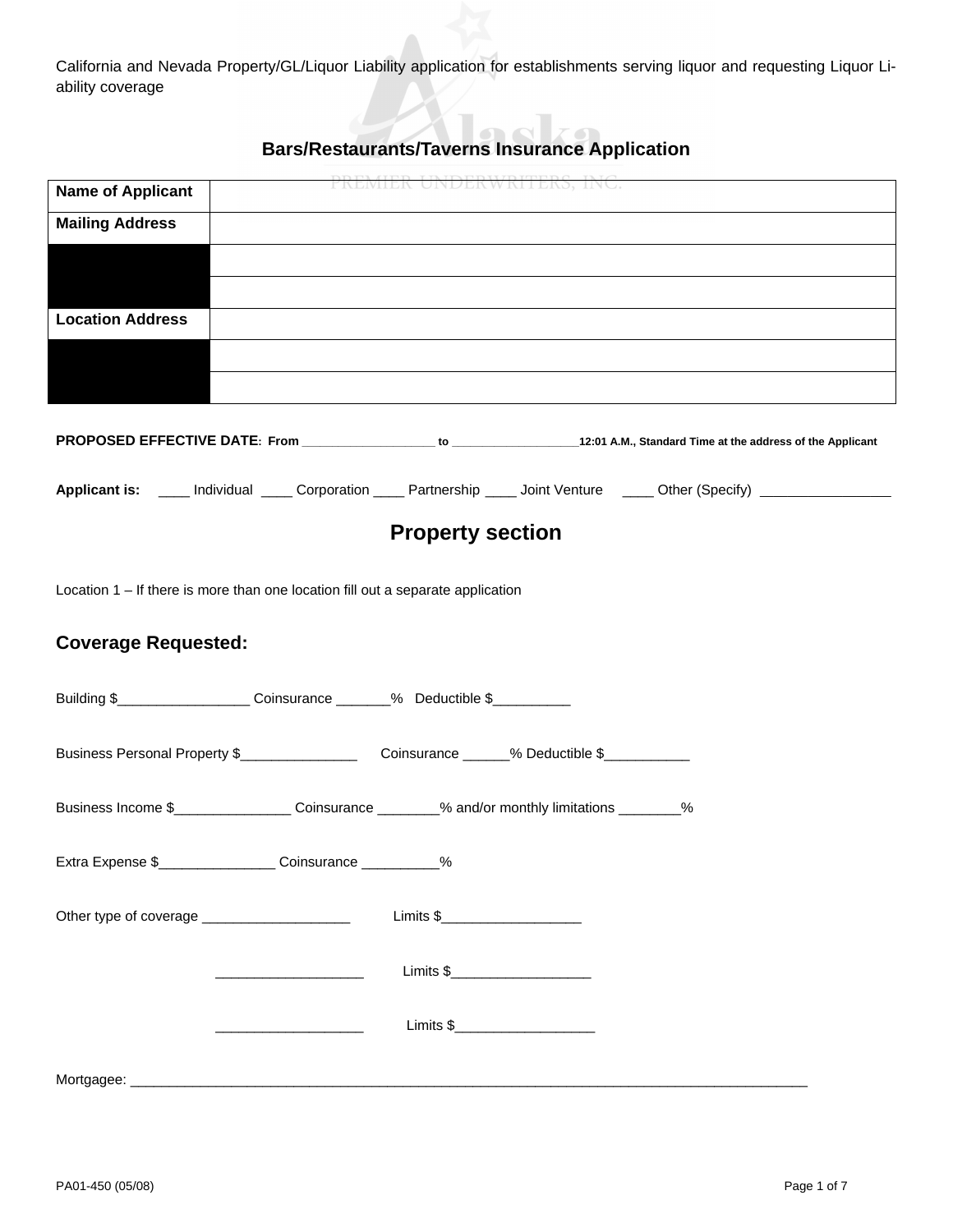California and Nevada Property/GL/Liquor Liability application for establishments serving liquor and requesting Liquor Liability coverage

# **Bars/Restaurants/Taverns Insurance Application**

| <b>Name of Applicant</b>                                                                                                                            |                                                                                                                      |                                                                                                                                                                                                                                                                                                                                                                                                                                                                                                                                            |                                                                                                                       |
|-----------------------------------------------------------------------------------------------------------------------------------------------------|----------------------------------------------------------------------------------------------------------------------|--------------------------------------------------------------------------------------------------------------------------------------------------------------------------------------------------------------------------------------------------------------------------------------------------------------------------------------------------------------------------------------------------------------------------------------------------------------------------------------------------------------------------------------------|-----------------------------------------------------------------------------------------------------------------------|
| <b>Mailing Address</b>                                                                                                                              |                                                                                                                      |                                                                                                                                                                                                                                                                                                                                                                                                                                                                                                                                            |                                                                                                                       |
|                                                                                                                                                     |                                                                                                                      |                                                                                                                                                                                                                                                                                                                                                                                                                                                                                                                                            |                                                                                                                       |
|                                                                                                                                                     |                                                                                                                      |                                                                                                                                                                                                                                                                                                                                                                                                                                                                                                                                            |                                                                                                                       |
| <b>Location Address</b>                                                                                                                             |                                                                                                                      |                                                                                                                                                                                                                                                                                                                                                                                                                                                                                                                                            |                                                                                                                       |
|                                                                                                                                                     |                                                                                                                      |                                                                                                                                                                                                                                                                                                                                                                                                                                                                                                                                            |                                                                                                                       |
|                                                                                                                                                     |                                                                                                                      |                                                                                                                                                                                                                                                                                                                                                                                                                                                                                                                                            |                                                                                                                       |
|                                                                                                                                                     |                                                                                                                      |                                                                                                                                                                                                                                                                                                                                                                                                                                                                                                                                            |                                                                                                                       |
|                                                                                                                                                     |                                                                                                                      |                                                                                                                                                                                                                                                                                                                                                                                                                                                                                                                                            | Applicant is: ____ Individual ____ Corporation ____ Partnership ____ Joint Venture ____ Other (Specify) _____________ |
|                                                                                                                                                     |                                                                                                                      | <b>Property section</b>                                                                                                                                                                                                                                                                                                                                                                                                                                                                                                                    |                                                                                                                       |
| Location $1 -$ If there is more than one location fill out a separate application<br><b>Coverage Requested:</b>                                     |                                                                                                                      |                                                                                                                                                                                                                                                                                                                                                                                                                                                                                                                                            |                                                                                                                       |
| Building \$______________________Coinsurance _______% Deductible \$______________                                                                   |                                                                                                                      |                                                                                                                                                                                                                                                                                                                                                                                                                                                                                                                                            |                                                                                                                       |
|                                                                                                                                                     |                                                                                                                      |                                                                                                                                                                                                                                                                                                                                                                                                                                                                                                                                            |                                                                                                                       |
| Business Income \$___________________Coinsurance ________% and/or monthly limitations ________%                                                     |                                                                                                                      |                                                                                                                                                                                                                                                                                                                                                                                                                                                                                                                                            |                                                                                                                       |
| Extra Expense \$<br><u> Extra</u> Expense \$<br><u> Extra</u> Expense \$<br><u> Extra</u> Expense \$<br><u>Interacting</u> Coinsurance ___________% |                                                                                                                      |                                                                                                                                                                                                                                                                                                                                                                                                                                                                                                                                            |                                                                                                                       |
|                                                                                                                                                     |                                                                                                                      | $\boxed{\text{Limits } \$_\text{2.55} \qquad \qquad \text{with} \qquad \qquad \text{with} \qquad \text{with} \qquad \text{with} \qquad \text{with} \qquad \text{with} \qquad \text{with} \qquad \text{with} \qquad \text{with} \qquad \text{with} \qquad \text{with} \qquad \text{with} \qquad \text{with} \qquad \text{with} \qquad \text{with} \qquad \text{with} \qquad \text{with} \qquad \text{with} \qquad \text{with} \qquad \text{with} \qquad \text{with} \qquad \text{with} \qquad \text{with} \qquad \text{with} \qquad \text{$ |                                                                                                                       |
|                                                                                                                                                     | <u> 1989 - Johann John Stone, markin fan it ferstjer fan it ferstjer fan it ferstjer fan it ferstjer fan it fers</u> | Limits \$______________________                                                                                                                                                                                                                                                                                                                                                                                                                                                                                                            |                                                                                                                       |
|                                                                                                                                                     |                                                                                                                      | Limits \$________________________                                                                                                                                                                                                                                                                                                                                                                                                                                                                                                          |                                                                                                                       |
|                                                                                                                                                     |                                                                                                                      |                                                                                                                                                                                                                                                                                                                                                                                                                                                                                                                                            |                                                                                                                       |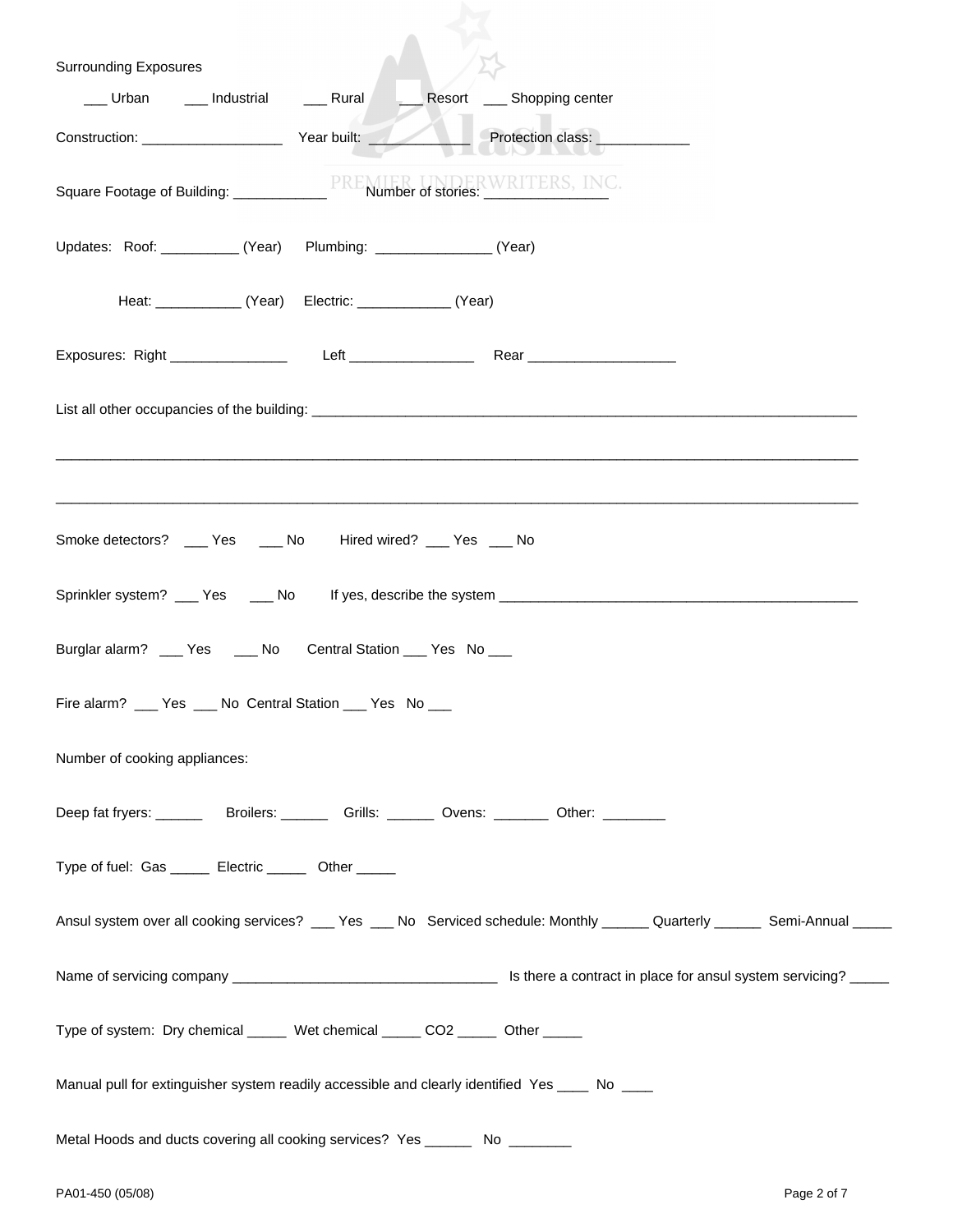| <b>Surrounding Exposures</b>                                                                     |                                                                |                                                                                                                             |  |
|--------------------------------------------------------------------------------------------------|----------------------------------------------------------------|-----------------------------------------------------------------------------------------------------------------------------|--|
| Urban ___ Industrial ____ Rural                                                                  |                                                                | Resort _____ Shopping center                                                                                                |  |
| Construction: Vear built:                                                                        |                                                                | Protection class: <b>container and protection</b>                                                                           |  |
| Square Footage of Building: _________________PREMIER UNDERWRITERS, INC.                          |                                                                |                                                                                                                             |  |
| Updates: Roof: ___________ (Year) Plumbing: ________________ (Year)                              |                                                                |                                                                                                                             |  |
|                                                                                                  | Heat: ________________ (Year) Electric: _______________ (Year) |                                                                                                                             |  |
|                                                                                                  |                                                                |                                                                                                                             |  |
|                                                                                                  |                                                                |                                                                                                                             |  |
|                                                                                                  |                                                                |                                                                                                                             |  |
| Smoke detectors? ____ Yes ____ No Hired wired? ___ Yes ___ No                                    |                                                                |                                                                                                                             |  |
|                                                                                                  |                                                                |                                                                                                                             |  |
| Burglar alarm? ___ Yes ____ No Central Station ___ Yes No ___                                    |                                                                |                                                                                                                             |  |
| Fire alarm? ___ Yes ___ No Central Station ___ Yes No ___                                        |                                                                |                                                                                                                             |  |
| Number of cooking appliances:                                                                    |                                                                |                                                                                                                             |  |
| Deep fat fryers: ___________Broilers: __________Grills: ________Ovens: _________Other: _________ |                                                                |                                                                                                                             |  |
| Type of fuel: Gas ______ Electric ______ Other _____                                             |                                                                |                                                                                                                             |  |
|                                                                                                  |                                                                | Ansul system over all cooking services? ___ Yes ___ No Serviced schedule: Monthly ______ Quarterly ______ Semi-Annual _____ |  |
|                                                                                                  |                                                                |                                                                                                                             |  |
| Type of system: Dry chemical ______ Wet chemical _____ CO2 _____ Other _____                     |                                                                |                                                                                                                             |  |
| Manual pull for extinguisher system readily accessible and clearly identified Yes ____ No ____   |                                                                |                                                                                                                             |  |
| Metal Hoods and ducts covering all cooking services? Yes _________ No __________                 |                                                                |                                                                                                                             |  |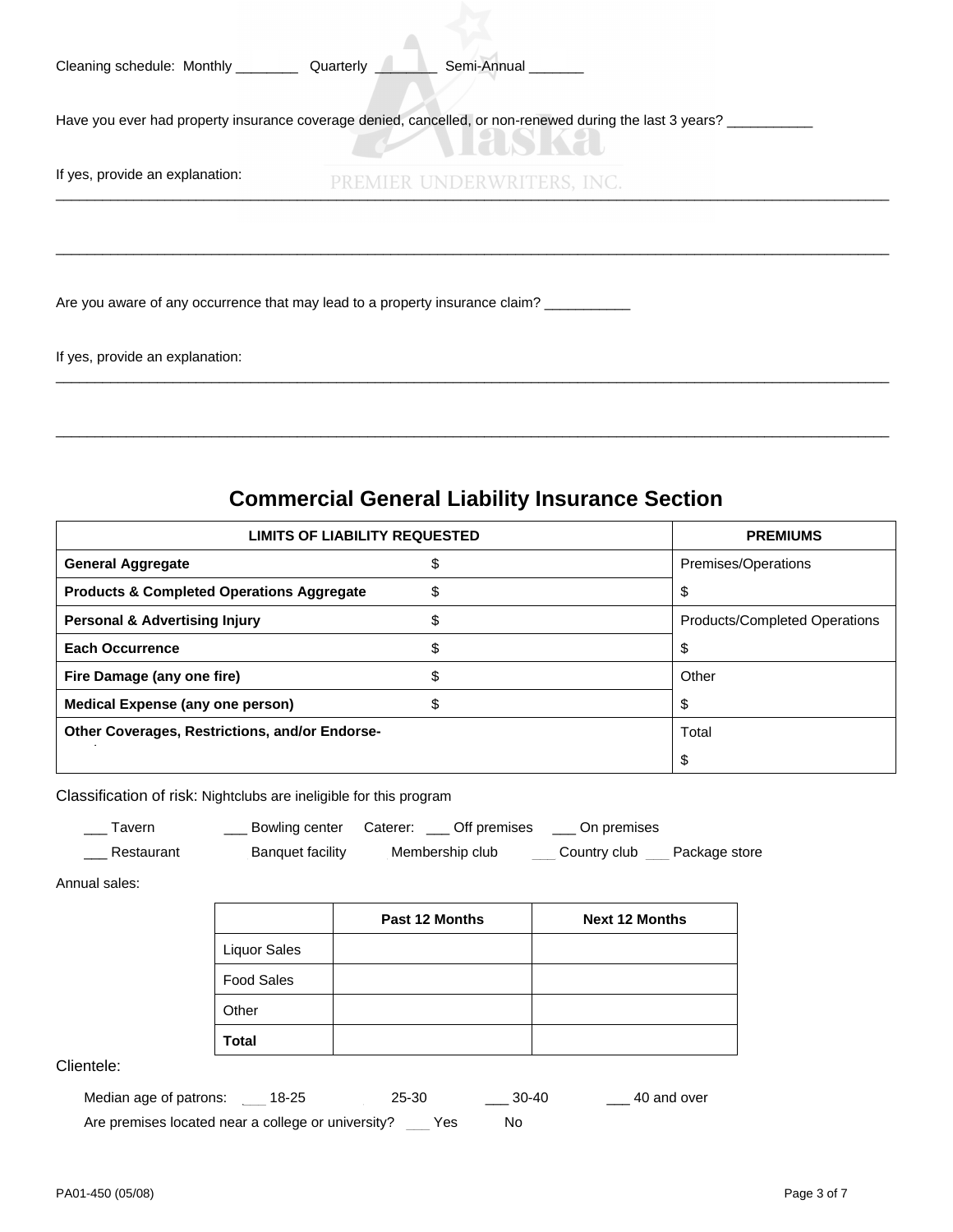| Cleaning schedule: Monthly ____________ Quarterly ___________ Semi-Annual _______ |                                                                                                          |
|-----------------------------------------------------------------------------------|----------------------------------------------------------------------------------------------------------|
|                                                                                   | Have you ever had property insurance coverage denied, cancelled, or non-renewed during the last 3 years? |
| If yes, provide an explanation:                                                   | PREMIER UNDERWRITERS, INC.                                                                               |
|                                                                                   |                                                                                                          |
| Are you aware of any occurrence that may lead to a property insurance claim?      |                                                                                                          |

 $\overline{\phantom{a}}$ 

If yes, provide an explanation:

# **Commercial General Liability Insurance Section**

\_\_\_\_\_\_\_\_\_\_\_\_\_\_\_\_\_\_\_\_\_\_\_\_\_\_\_\_\_\_\_\_\_\_\_\_\_\_\_\_\_\_\_\_\_\_\_\_\_\_\_\_\_\_\_\_\_\_\_\_\_\_\_\_\_\_\_\_\_\_\_\_\_\_\_\_\_\_\_\_\_\_\_\_\_\_\_\_\_\_\_\_\_\_\_\_\_\_\_\_\_\_\_\_\_\_\_

\_\_\_\_\_\_\_\_\_\_\_\_\_\_\_\_\_\_\_\_\_\_\_\_\_\_\_\_\_\_\_\_\_\_\_\_\_\_\_\_\_\_\_\_\_\_\_\_\_\_\_\_\_\_\_\_\_\_\_\_\_\_\_\_\_\_\_\_\_\_\_\_\_\_\_\_\_\_\_\_\_\_\_\_\_\_\_\_\_\_\_\_\_\_\_\_\_\_\_\_\_\_\_\_\_\_\_

| <b>LIMITS OF LIABILITY REQUESTED</b>                 | <b>PREMIUMS</b> |                                      |
|------------------------------------------------------|-----------------|--------------------------------------|
| <b>General Aggregate</b>                             |                 | Premises/Operations                  |
| <b>Products &amp; Completed Operations Aggregate</b> | \$              | \$                                   |
| <b>Personal &amp; Advertising Injury</b>             |                 | <b>Products/Completed Operations</b> |
| <b>Each Occurrence</b>                               |                 | S                                    |
| Fire Damage (any one fire)                           |                 | Other                                |
| Medical Expense (any one person)                     |                 | S                                    |
| Other Coverages, Restrictions, and/or Endorse-       | Total           |                                      |
|                                                      |                 | \$                                   |

Classification of risk: Nightclubs are ineligible for this program

| Tavern     | Bowling center   | Off premises<br>Caterer: | On premises  |               |
|------------|------------------|--------------------------|--------------|---------------|
| Restaurant | Banguet facility | Membership club          | Country club | Package store |

Annual sales:

|                     | <b>Past 12 Months</b> | <b>Next 12 Months</b> |
|---------------------|-----------------------|-----------------------|
| <b>Liquor Sales</b> |                       |                       |
| <b>Food Sales</b>   |                       |                       |
| Other               |                       |                       |
| Total               |                       |                       |

Clientele:

| Median age of patrons:                             | 18-25 | 25-30 | - 30-40 | 40 and over |
|----------------------------------------------------|-------|-------|---------|-------------|
| Are premises located near a college or university? |       | Yes   | No.     |             |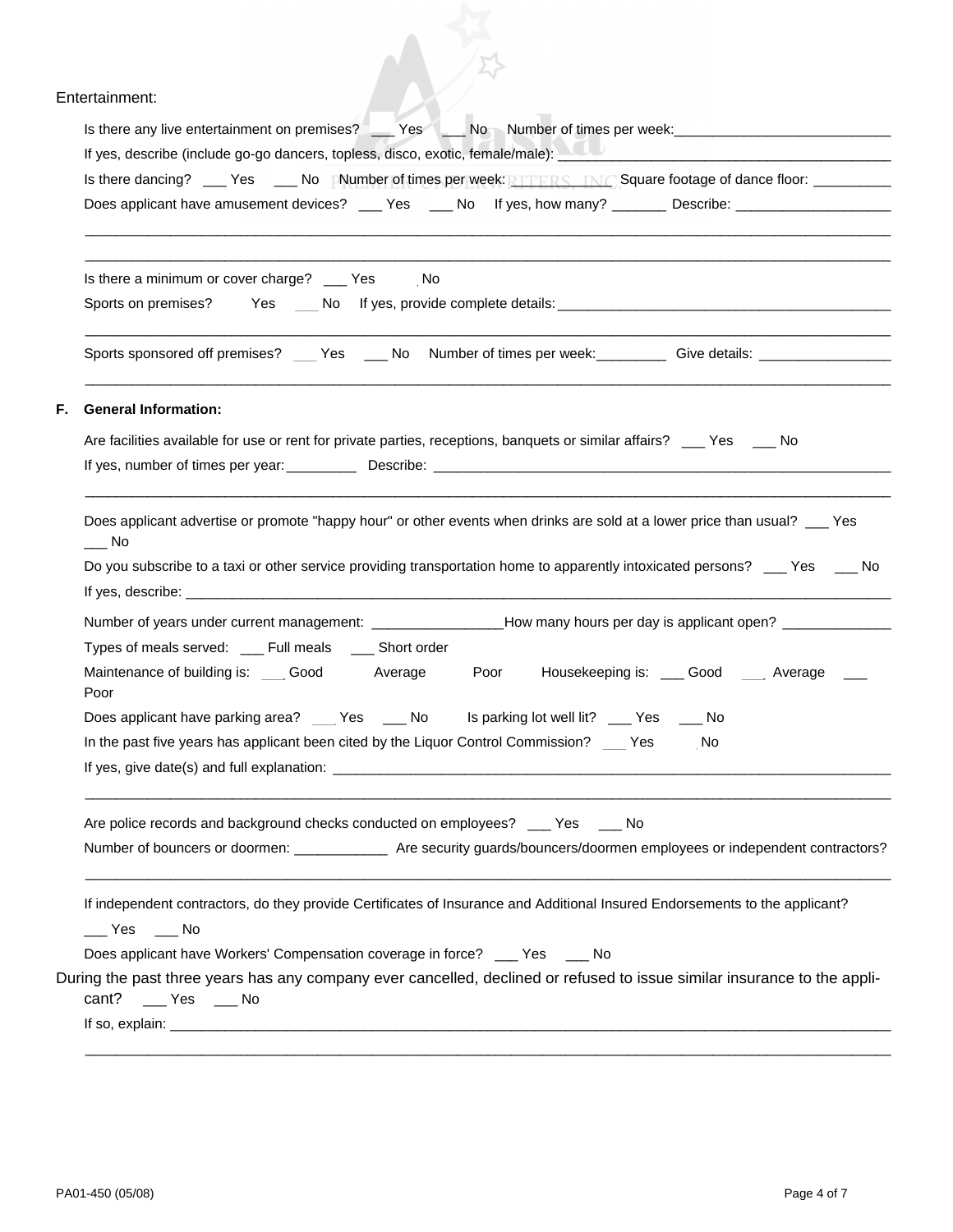### Entertainment:

| Entertainment:                                                                                                                                                                                                                 |
|--------------------------------------------------------------------------------------------------------------------------------------------------------------------------------------------------------------------------------|
| Is there any live entertainment on premises? _____Yes _____No Number of times per week: ______________________                                                                                                                 |
| If yes, describe (include go-go dancers, topless, disco, exotic, female/male): New York Changer and Changer and Changer and Changer and Changer and Changer and Changer and Changer and Changer and Changer and Changer and Ch |
| Is there dancing? _____Yes _____No    Number of times per week: <b>PLITERS. TNC</b> Square footage of dance floor: ___________                                                                                                 |
| Does applicant have amusement devices? _____ Yes _____ No lf yes, how many? _________ Describe: ______________                                                                                                                 |
|                                                                                                                                                                                                                                |
| Is there a minimum or cover charge? ____ Yes No                                                                                                                                                                                |
|                                                                                                                                                                                                                                |
| Sports sponsored off premises? Yes ___ No Number of times per week: _______ Give details: _______________                                                                                                                      |
|                                                                                                                                                                                                                                |
| <b>General Information:</b><br>F.                                                                                                                                                                                              |
| Are facilities available for use or rent for private parties, receptions, banquets or similar affairs? Yes ___ No                                                                                                              |
|                                                                                                                                                                                                                                |
| Does applicant advertise or promote "happy hour" or other events when drinks are sold at a lower price than usual? __ Yes<br>___ No                                                                                            |
| Do you subscribe to a taxi or other service providing transportation home to apparently intoxicated persons? __ Yes __ No                                                                                                      |
|                                                                                                                                                                                                                                |
| Number of years under current management: _________________How many hours per day is applicant open? _________                                                                                                                 |
| Types of meals served: ___ Full meals ____ Short order                                                                                                                                                                         |
| Maintenance of building is: Good Average<br>Poor Housekeeping is: Cood Average<br>Poor                                                                                                                                         |
| Does applicant have parking area?<br>Is parking lot well lit? ___ Yes<br>No<br><b>No</b><br>Yes                                                                                                                                |
| In the past five years has applicant been cited by the Liquor Control Commission?<br>Yes<br>No                                                                                                                                 |
|                                                                                                                                                                                                                                |
| Are police records and background checks conducted on employees? ___ Yes ___ No                                                                                                                                                |
| Number of bouncers or doormen: ________________ Are security guards/bouncers/doormen employees or independent contractors?                                                                                                     |
|                                                                                                                                                                                                                                |
| If independent contractors, do they provide Certificates of Insurance and Additional Insured Endorsements to the applicant?<br>Yes<br>No                                                                                       |
| Does applicant have Workers' Compensation coverage in force? ___ Yes ___ No                                                                                                                                                    |
| During the past three years has any company ever cancelled, declined or refused to issue similar insurance to the appli-<br>cant? ___ Yes ___ No                                                                               |
|                                                                                                                                                                                                                                |
|                                                                                                                                                                                                                                |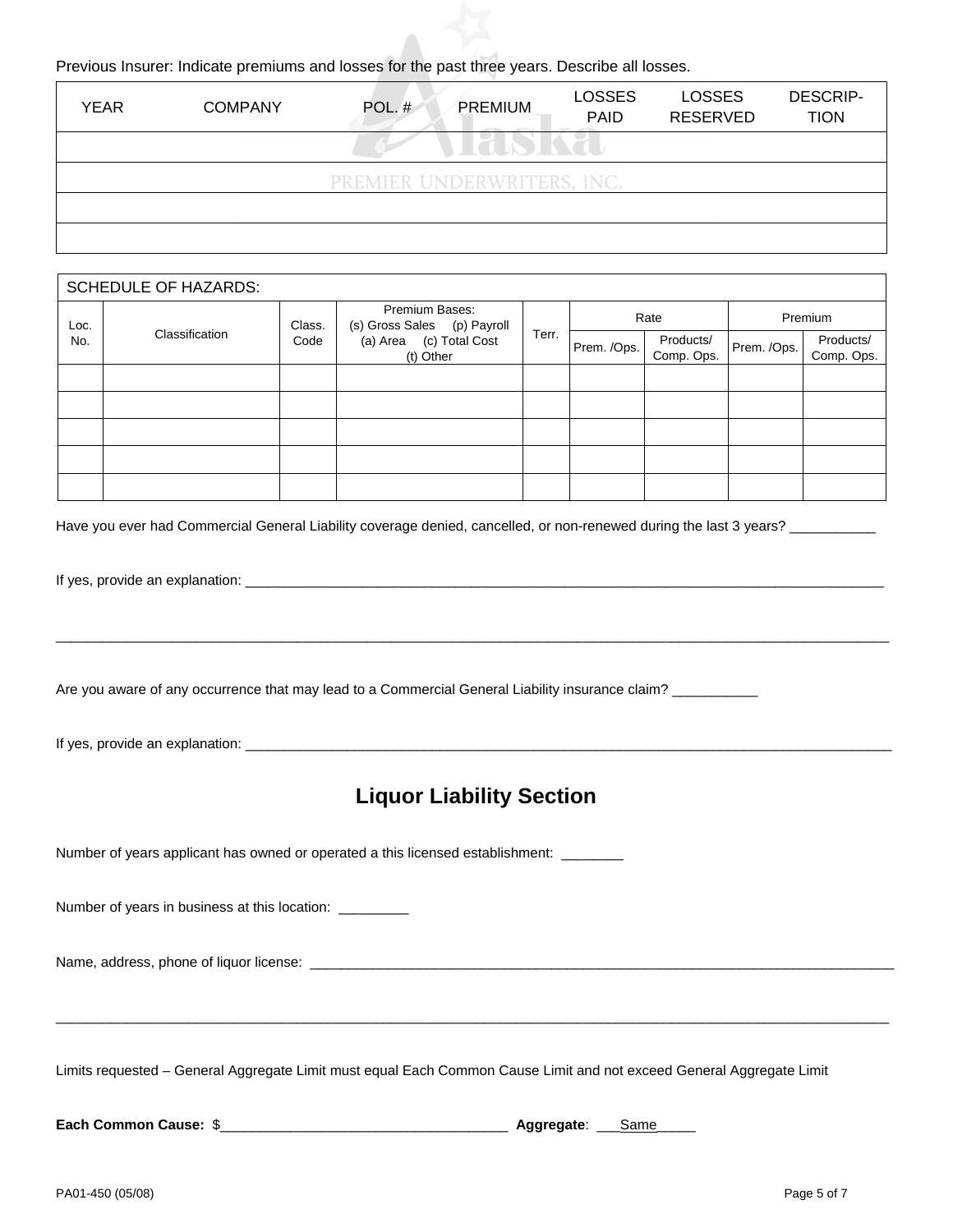#### Previous Insurer: Indicate premiums and losses for the past three years. Describe all losses.

| <b>YEAR</b> | <b>COMPANY</b> | POL. $#$                   | PREMIUM | <b>LOSSES</b><br><b>PAID</b><br>The Control of the Control of | <b>LOSSES</b><br><b>RESERVED</b> | <b>DESCRIP-</b><br><b>TION</b> |
|-------------|----------------|----------------------------|---------|---------------------------------------------------------------|----------------------------------|--------------------------------|
|             |                |                            |         |                                                               |                                  |                                |
|             |                | PREMIER UNDERWRITERS, INC. |         |                                                               |                                  |                                |
|             |                |                            |         |                                                               |                                  |                                |
|             |                |                            |         |                                                               |                                  |                                |

|      | <b>SCHEDULE OF HAZARDS:</b> |      |                                                         |  |             |                         |             |                         |
|------|-----------------------------|------|---------------------------------------------------------|--|-------------|-------------------------|-------------|-------------------------|
| Loc. |                             |      | Premium Bases:<br>(s) Gross Sales (p) Payroll<br>Class. |  | Rate        |                         | Premium     |                         |
| No.  | Classification              | Code | Terr.<br>(a) Area (c) Total Cost<br>(t) Other           |  | Prem. /Ops. | Products/<br>Comp. Ops. | Prem. /Ops. | Products/<br>Comp. Ops. |
|      |                             |      |                                                         |  |             |                         |             |                         |
|      |                             |      |                                                         |  |             |                         |             |                         |
|      |                             |      |                                                         |  |             |                         |             |                         |
|      |                             |      |                                                         |  |             |                         |             |                         |
|      |                             |      |                                                         |  |             |                         |             |                         |

Have you ever had Commercial General Liability coverage denied, cancelled, or non-renewed during the last 3 years?

If yes, provide an explanation: \_\_\_\_\_\_\_\_\_\_\_\_\_\_\_\_\_\_\_\_\_\_\_\_\_\_\_\_\_\_\_\_\_\_\_\_\_\_\_\_\_\_\_\_\_\_\_\_\_\_\_\_\_\_\_\_\_\_\_\_\_\_\_\_\_\_\_\_\_\_\_\_\_\_\_\_\_\_\_\_\_\_

Are you aware of any occurrence that may lead to a Commercial General Liability insurance claim?

If yes, provide an explanation: \_\_\_\_\_\_\_\_\_\_\_\_\_\_\_\_\_\_\_\_\_\_\_\_\_\_\_\_\_\_\_\_\_\_\_\_\_\_\_\_\_\_\_\_\_\_\_\_\_\_\_\_\_\_\_\_\_\_\_\_\_\_\_\_\_\_\_\_\_\_\_\_\_\_\_\_\_\_\_\_\_\_\_

## **Liquor Liability Section**

\_\_\_\_\_\_\_\_\_\_\_\_\_\_\_\_\_\_\_\_\_\_\_\_\_\_\_\_\_\_\_\_\_\_\_\_\_\_\_\_\_\_\_\_\_\_\_\_\_\_\_\_\_\_\_\_\_\_\_\_\_\_\_\_\_\_\_\_\_\_\_\_\_\_\_\_\_\_\_\_\_\_\_\_\_\_\_\_\_\_\_\_\_\_\_\_\_\_\_\_\_\_\_\_\_\_\_

Number of years applicant has owned or operated a this licensed establishment: \_\_\_\_\_\_\_

Number of years in business at this location: \_\_\_\_\_\_\_\_\_\_

Name, address, phone of liquor license: \_\_\_\_\_\_\_\_\_\_\_\_\_\_\_\_\_\_\_\_\_\_\_\_\_\_\_\_\_\_\_\_\_\_\_\_\_\_\_\_\_\_\_\_\_\_\_\_\_\_\_\_\_\_\_\_\_\_\_\_\_\_\_\_\_\_\_\_\_\_\_\_\_\_\_

Limits requested – General Aggregate Limit must equal Each Common Cause Limit and not exceed General Aggregate Limit

\_\_\_\_\_\_\_\_\_\_\_\_\_\_\_\_\_\_\_\_\_\_\_\_\_\_\_\_\_\_\_\_\_\_\_\_\_\_\_\_\_\_\_\_\_\_\_\_\_\_\_\_\_\_\_\_\_\_\_\_\_\_\_\_\_\_\_\_\_\_\_\_\_\_\_\_\_\_\_\_\_\_\_\_\_\_\_\_\_\_\_\_\_\_\_\_\_\_\_\_\_\_\_\_\_\_\_

**Each Common Cause:** \$\_\_\_\_\_\_\_\_\_\_\_\_\_\_\_\_\_\_\_\_\_\_\_\_\_\_\_\_\_\_\_\_\_\_\_\_\_ **Aggregate**: \_\_\_Same\_\_\_\_\_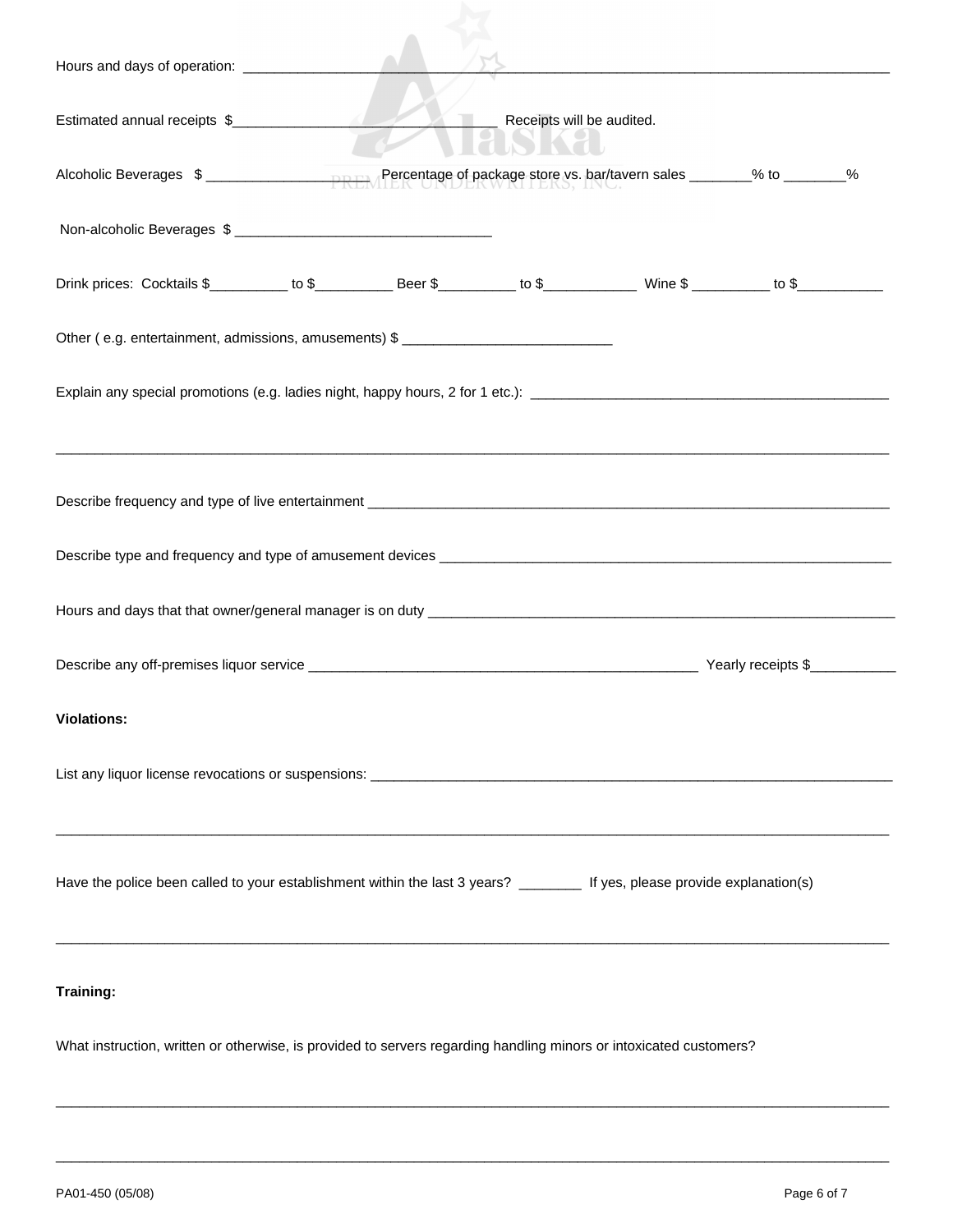| Estimated annual receipts \$                                                                                              |  | Receipts will be audited. |  |  |
|---------------------------------------------------------------------------------------------------------------------------|--|---------------------------|--|--|
| Alcoholic Beverages \$                                                                                                    |  |                           |  |  |
|                                                                                                                           |  |                           |  |  |
|                                                                                                                           |  |                           |  |  |
| Other (e.g. entertainment, admissions, amusements) \$ ___________________________                                         |  |                           |  |  |
|                                                                                                                           |  |                           |  |  |
|                                                                                                                           |  |                           |  |  |
|                                                                                                                           |  |                           |  |  |
|                                                                                                                           |  |                           |  |  |
|                                                                                                                           |  |                           |  |  |
| <b>Violations:</b>                                                                                                        |  |                           |  |  |
|                                                                                                                           |  |                           |  |  |
| Have the police been called to your establishment within the last 3 years? ________ If yes, please provide explanation(s) |  |                           |  |  |
| Training:                                                                                                                 |  |                           |  |  |
| What instruction, written or otherwise, is provided to servers regarding handling minors or intoxicated customers?        |  |                           |  |  |

\_\_\_\_\_\_\_\_\_\_\_\_\_\_\_\_\_\_\_\_\_\_\_\_\_\_\_\_\_\_\_\_\_\_\_\_\_\_\_\_\_\_\_\_\_\_\_\_\_\_\_\_\_\_\_\_\_\_\_\_\_\_\_\_\_\_\_\_\_\_\_\_\_\_\_\_\_\_\_\_\_\_\_\_\_\_\_\_\_\_\_\_\_\_\_\_\_\_\_\_\_\_\_\_\_\_\_

\_\_\_\_\_\_\_\_\_\_\_\_\_\_\_\_\_\_\_\_\_\_\_\_\_\_\_\_\_\_\_\_\_\_\_\_\_\_\_\_\_\_\_\_\_\_\_\_\_\_\_\_\_\_\_\_\_\_\_\_\_\_\_\_\_\_\_\_\_\_\_\_\_\_\_\_\_\_\_\_\_\_\_\_\_\_\_\_\_\_\_\_\_\_\_\_\_\_\_\_\_\_\_\_\_\_\_